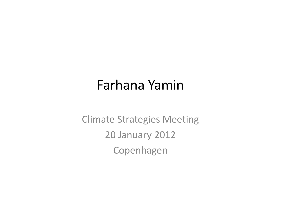#### Farhana Yamin

Climate Strategies Meeting 20 January 2012Copenhagen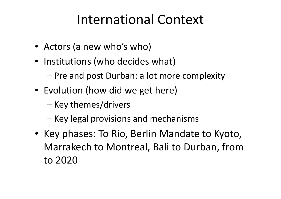## International Context

- Actors (a new who's who)
- Institutions (who decides what)
	- – $-$  Pre and post Durban: a lot more complexity
- Evolution (how did we get here)
	- – $-$  Key themes/drivers
	- – $-$  Key legal provisions and mechanisms
- Key phases: To Rio, Berlin Mandate to Kyoto, Marrakech to Montreal, Bali to Durban, from to 2020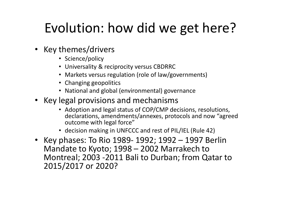# Evolution: how did we get here?

- Key themes/drivers
	- Science/policy
	- Universality & reciprocity versus CBDRRC
	- Markets versus regulation (role of law/governments)
	- Changing geopolitics
	- National and global (environmental) governance
- Key legal provisions and mechanisms
	- Adoption and legal status of COP/CMP decisions, resolutions, declarations, amendments/annexes, protocols and now "agreed outcome with legal force"
	- decision making in UNFCCC and rest of PIL/IEL (Rule 42)
- Key phases: To Rio 1989-1992; 1992 1997 Berlin Mandate to Kyoto; 1998 – 2002 Marrakech to Montreal; 2003 -2011 Bali to Durban; from Qatar to 2015/2017 or 2020?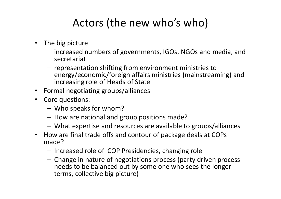#### Actors (the new who's who)

- The big picture
	- increased numbers of governments, IGOs, NGOs and media, and secretariat
	- –- representation shifting from environment ministries to energy/economic/foreign affairs ministries (mainstreaming) and increasing role of Heads of State
- Formal negotiating groups/alliances
- Core questions:
	- Who speaks for whom?
	- $-$  How are national and group positions made?
	- What expertise and resources are available to groups/alliances
- $\bullet$  How are final trade offs and contour of package deals at COPs made?
	- Increased role of COP Presidencies, changing role
	- Change in nature of negotiations process (party driven process needs to be balanced out by some one who sees the longer terms, collective big picture)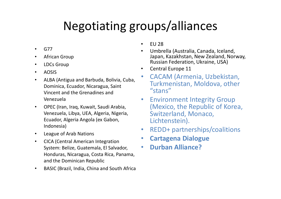### Negotiating groups/alliances

- •G77
- $\bullet$ African Group
- •LDCs Group
- •AOSIS
- • ALBA (Antigua and Barbuda, Bolivia, Cuba, Dominica, Ecuador, Nicaragua, Saint Vincent and the Grenadines and Venezuela
- $\bullet$  OPEC (Iran, Iraq, Kuwait, Saudi Arabia, Venezuela, Libya, UEA, Algeria, Nigeria, Ecuador, Algeria Angola (ex Gabon, Indonesia)
- •League of Arab Nations
- $\bullet$  CICA (Central American Integration System: Belize, Guatemala, El Salvador, Honduras, Nicaragua, Costa Rica, Panama, and the Dominican Republic
- $\bullet$ BASIC (Brazil, India, China and South Africa
- •EU 28
- Umbrella (Australia, Canada, Iceland, •Japan, Kazakhstan, New Zealand, Norway, Russian Federation, Ukraine, USA)
- $\bullet$ Central Europe 11
- • CACAM (Armenia, Uzbekistan, Turkmenistan, Moldova, other "stans"
- • Environment Integrity Group (Mexico, the Republic of Korea, Switzerland, Monaco, Lichtenstein).
- $\bullet$ REDD+ partnerships/coalitions
- $\bullet$ Cartagena Dialogue
- •Durban Alliance?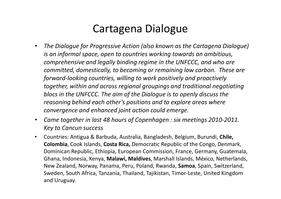#### Cartagena Dialogue

- • The Dialogue for Progressive Action (also known as the Cartagena Dialogue) is an informal space, open to countries working towards an ambitious, comprehensive and legally binding regime in the UNFCCC, and who are committed, domestically, to becoming or remaining low carbon. These are forward-looking countries, willing to work positively and proactively together, within and across regional groupings and traditional negotiating blocs in the UNFCCC. The aim of the Dialogue is to openly discuss the reasoning behind each other's positions and to explore areas where convergence and enhanced joint action could emerge.
- $\bullet$  Came together in last 48 hours of Copenhagen : six meetings 2010-2011. Key to Cancun success
- $\bullet$  Countries: Antigua & Barbuda, Australia, Bangladesh, Belgium, Burundi, Chile, Colombia, Cook Islands, Costa Rica, Democratic Republic of the Congo, Denmark, Dominican Republic, Ethiopia, European Commission, France, Germany, Guatemala, Ghana, Indonesia, Kenya, Malawi, Maldives, Marshall Islands, México, Netherlands, New Zealand, Norway, Panama, Peru, Poland, Rwanda, Samoa, Spain, Switzerland, Sweden, South Africa, Tanzania, Thailand, Tajikistan, Timor-Leste, United Kingdom and Uruguay.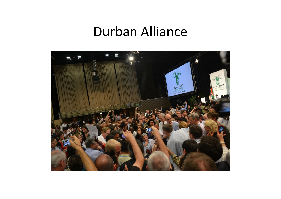### Durban Alliance

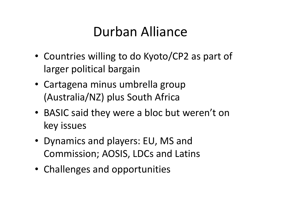## Durban Alliance

- Countries willing to do Kyoto/CP2 as part of larger political bargain
- Cartagena minus umbrella group (Australia/NZ) plus South Africa
- BASIC said they were a bloc but weren't on key issues
- Dynamics and players: EU, MS and Commission; AOSIS, LDCs and Latins
- Challenges and opportunities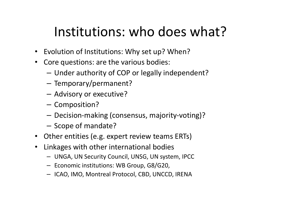## Institutions: who does what?

- Evolution of Institutions: Why set up? When?
- $\bullet$  Core questions: are the various bodies:
	- –Under authority of COP or legally independent?
	- – $-$  Temporary/permanent?
	- –Advisory or executive?
	- – $-$  Composition?
	- –Decision-making (consensus, majority-voting)?
	- – $-$  Scope of mandate?
- Other entities (e.g. expert review teams ERTs)
- • Linkages with other international bodies
	- UNGA, UN Security Council, UNSG, UN system, IPCC
	- $-$  Economic institutions: WB Group, G8/G20,
	- ICAO, IMO, Montreal Protocol, CBD, UNCCD, IRENA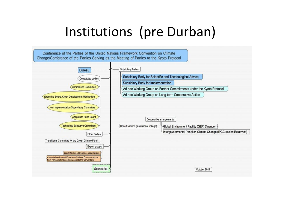## Institutions (pre Durban)